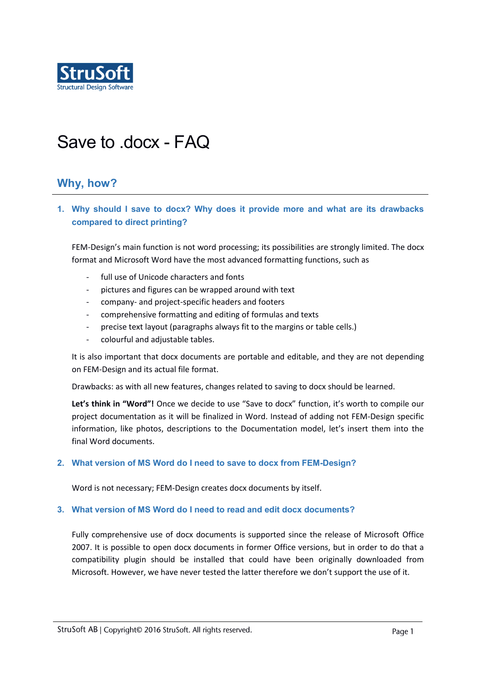

# Save to .docx - FAQ

# **Why, how?**

**1. Why should I save to docx? Why does it provide more and what are its drawbacks compared to direct printing?** 

FEM-Design's main function is not word processing; its possibilities are strongly limited. The docx format and Microsoft Word have the most advanced formatting functions, such as

- full use of Unicode characters and fonts
- pictures and figures can be wrapped around with text
- company- and project-specific headers and footers
- comprehensive formatting and editing of formulas and texts
- precise text layout (paragraphs always fit to the margins or table cells.)
- colourful and adjustable tables.

It is also important that docx documents are portable and editable, and they are not depending on FEM-Design and its actual file format.

Drawbacks: as with all new features, changes related to saving to docx should be learned.

**Let's think in "Word"!** Once we decide to use "Save to docx" function, it's worth to compile our project documentation as it will be finalized in Word. Instead of adding not FEM-Design specific information, like photos, descriptions to the Documentation model, let's insert them into the final Word documents.

#### **2. What version of MS Word do I need to save to docx from FEM-Design?**

Word is not necessary; FEM-Design creates docx documents by itself.

#### **3. What version of MS Word do I need to read and edit docx documents?**

Fully comprehensive use of docx documents is supported since the release of Microsoft Office 2007. It is possible to open docx documents in former Office versions, but in order to do that a compatibility plugin should be installed that could have been originally downloaded from Microsoft. However, we have never tested the latter therefore we don't support the use of it.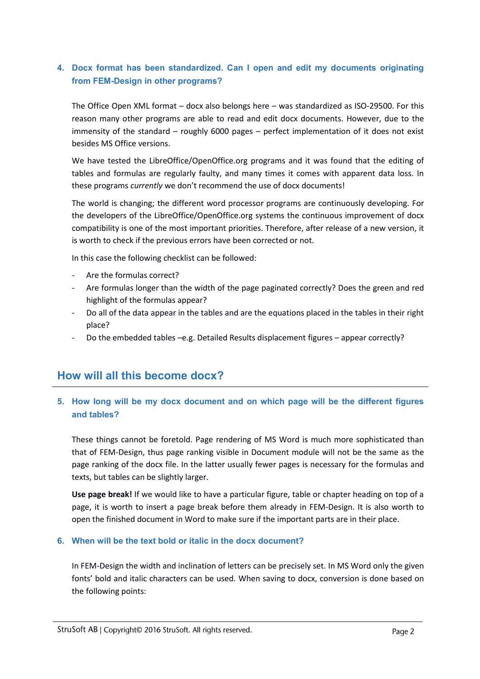## **4. Docx format has been standardized. Can I open and edit my documents originating from FEM-Design in other programs?**

The Office Open XML format – docx also belongs here – was standardized as ISO-29500. For this reason many other programs are able to read and edit docx documents. However, due to the immensity of the standard – roughly 6000 pages – perfect implementation of it does not exist besides MS Office versions.

We have tested the LibreOffice/OpenOffice.org programs and it was found that the editing of tables and formulas are regularly faulty, and many times it comes with apparent data loss. In these programs *currently* we don't recommend the use of docx documents!

The world is changing; the different word processor programs are continuously developing. For the developers of the LibreOffice/OpenOffice.org systems the continuous improvement of docx compatibility is one of the most important priorities. Therefore, after release of a new version, it is worth to check if the previous errors have been corrected or not.

In this case the following checklist can be followed:

- Are the formulas correct?
- Are formulas longer than the width of the page paginated correctly? Does the green and red highlight of the formulas appear?
- Do all of the data appear in the tables and are the equations placed in the tables in their right place?
- Do the embedded tables –e.g. Detailed Results displacement figures appear correctly?

# **How will all this become docx?**

## **5. How long will be my docx document and on which page will be the different figures and tables?**

These things cannot be foretold. Page rendering of MS Word is much more sophisticated than that of FEM-Design, thus page ranking visible in Document module will not be the same as the page ranking of the docx file. In the latter usually fewer pages is necessary for the formulas and texts, but tables can be slightly larger.

**Use page break!** If we would like to have a particular figure, table or chapter heading on top of a page, it is worth to insert a page break before them already in FEM-Design. It is also worth to open the finished document in Word to make sure if the important parts are in their place.

#### **6. When will be the text bold or italic in the docx document?**

In FEM-Design the width and inclination of letters can be precisely set. In MS Word only the given fonts' bold and italic characters can be used. When saving to docx, conversion is done based on the following points: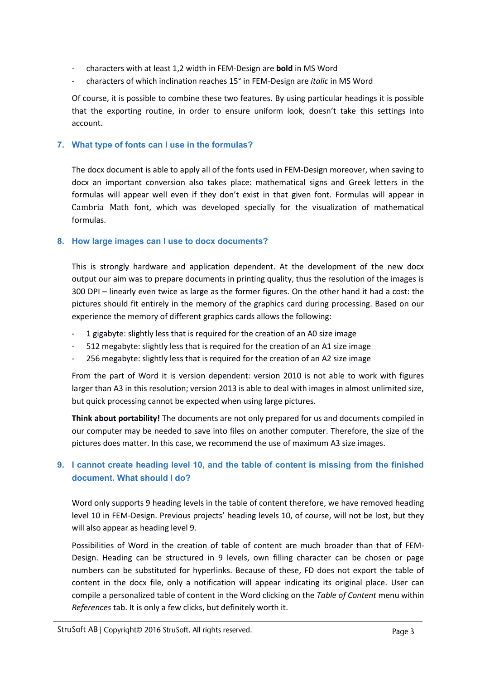- characters with at least 1,2 width in FEM-Design are **bold** in MS Word
- characters of which inclination reaches 15° in FEM-Design are *italic* in MS Word

Of course, it is possible to combine these two features. By using particular headings it is possible that the exporting routine, in order to ensure uniform look, doesn't take this settings into account.

#### **7. What type of fonts can I use in the formulas?**

The docx document is able to apply all of the fonts used in FEM-Design moreover, when saving to docx an important conversion also takes place: mathematical signs and Greek letters in the formulas will appear well even if they don't exist in that given font. Formulas will appear in Cambria Math font, which was developed specially for the visualization of mathematical formulas.

#### **8. How large images can I use to docx documents?**

This is strongly hardware and application dependent. At the development of the new docx output our aim was to prepare documents in printing quality, thus the resolution of the images is 300 DPI – linearly even twice as large as the former figures. On the other hand it had a cost: the pictures should fit entirely in the memory of the graphics card during processing. Based on our experience the memory of different graphics cards allows the following:

- 1 gigabyte: slightly less that is required for the creation of an A0 size image
- 512 megabyte: slightly less that is required for the creation of an A1 size image
- 256 megabyte: slightly less that is required for the creation of an A2 size image

From the part of Word it is version dependent: version 2010 is not able to work with figures larger than A3 in this resolution; version 2013 is able to deal with images in almost unlimited size, but quick processing cannot be expected when using large pictures.

**Think about portability!** The documents are not only prepared for us and documents compiled in our computer may be needed to save into files on another computer. Therefore, the size of the pictures does matter. In this case, we recommend the use of maximum A3 size images.

## **9. I cannot create heading level 10, and the table of content is missing from the finished document. What should I do?**

Word only supports 9 heading levels in the table of content therefore, we have removed heading level 10 in FEM-Design. Previous projects' heading levels 10, of course, will not be lost, but they will also appear as heading level 9.

Possibilities of Word in the creation of table of content are much broader than that of FEM-Design. Heading can be structured in 9 levels, own filling character can be chosen or page numbers can be substituted for hyperlinks. Because of these, FD does not export the table of content in the docx file, only a notification will appear indicating its original place. User can compile a personalized table of content in the Word clicking on the *Table of Content* menu within *References* tab. It is only a few clicks, but definitely worth it.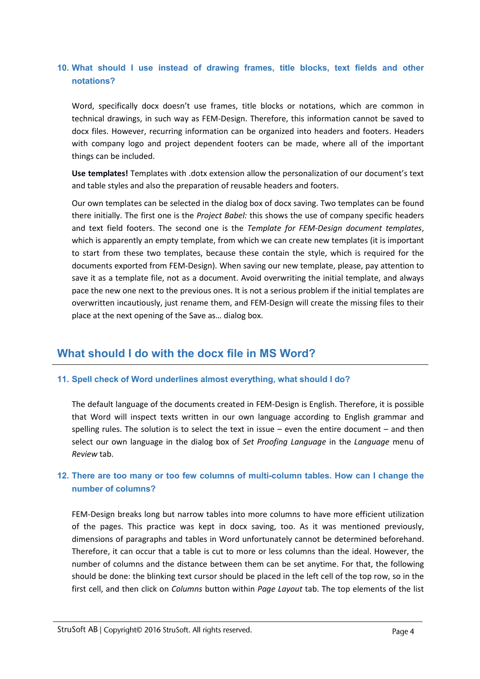## **10. What should I use instead of drawing frames, title blocks, text fields and other notations?**

Word, specifically docx doesn't use frames, title blocks or notations, which are common in technical drawings, in such way as FEM-Design. Therefore, this information cannot be saved to docx files. However, recurring information can be organized into headers and footers. Headers with company logo and project dependent footers can be made, where all of the important things can be included.

**Use templates!** Templates with .dotx extension allow the personalization of our document's text and table styles and also the preparation of reusable headers and footers.

Our own templates can be selected in the dialog box of docx saving. Two templates can be found there initially. The first one is the *Project Babel:* this shows the use of company specific headers and text field footers. The second one is the *Template for FEM-Design document templates*, which is apparently an empty template, from which we can create new templates (it is important to start from these two templates, because these contain the style, which is required for the documents exported from FEM-Design). When saving our new template, please, pay attention to save it as a template file, not as a document. Avoid overwriting the initial template, and always pace the new one next to the previous ones. It is not a serious problem if the initial templates are overwritten incautiously, just rename them, and FEM-Design will create the missing files to their place at the next opening of the Save as… dialog box.

# **What should I do with the docx file in MS Word?**

## **11. Spell check of Word underlines almost everything, what should I do?**

The default language of the documents created in FEM-Design is English. Therefore, it is possible that Word will inspect texts written in our own language according to English grammar and spelling rules. The solution is to select the text in issue – even the entire document – and then select our own language in the dialog box of *Set Proofing Language* in the *Language* menu of *Review* tab.

## **12. There are too many or too few columns of multi-column tables. How can I change the number of columns?**

FEM-Design breaks long but narrow tables into more columns to have more efficient utilization of the pages. This practice was kept in docx saving, too. As it was mentioned previously, dimensions of paragraphs and tables in Word unfortunately cannot be determined beforehand. Therefore, it can occur that a table is cut to more or less columns than the ideal. However, the number of columns and the distance between them can be set anytime. For that, the following should be done: the blinking text cursor should be placed in the left cell of the top row, so in the first cell, and then click on *Columns* button within *Page Layout* tab. The top elements of the list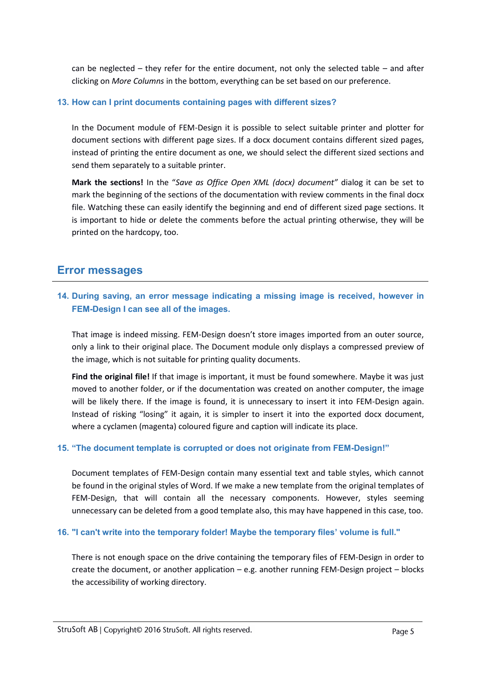can be neglected – they refer for the entire document, not only the selected table – and after clicking on *More Columns* in the bottom, everything can be set based on our preference.

#### **13. How can I print documents containing pages with different sizes?**

In the Document module of FEM-Design it is possible to select suitable printer and plotter for document sections with different page sizes. If a docx document contains different sized pages, instead of printing the entire document as one, we should select the different sized sections and send them separately to a suitable printer.

**Mark the sections!** In the "*Save as Office Open XML (docx) document"* dialog it can be set to mark the beginning of the sections of the documentation with review comments in the final docx file. Watching these can easily identify the beginning and end of different sized page sections. It is important to hide or delete the comments before the actual printing otherwise, they will be printed on the hardcopy, too.

## **Error messages**

## **14. During saving, an error message indicating a missing image is received, however in FEM-Design I can see all of the images.**

That image is indeed missing. FEM-Design doesn't store images imported from an outer source, only a link to their original place. The Document module only displays a compressed preview of the image, which is not suitable for printing quality documents.

**Find the original file!** If that image is important, it must be found somewhere. Maybe it was just moved to another folder, or if the documentation was created on another computer, the image will be likely there. If the image is found, it is unnecessary to insert it into FEM-Design again. Instead of risking "losing" it again, it is simpler to insert it into the exported docx document, where a cyclamen (magenta) coloured figure and caption will indicate its place.

## **15. "The document template is corrupted or does not originate from FEM-Design!"**

Document templates of FEM-Design contain many essential text and table styles, which cannot be found in the original styles of Word. If we make a new template from the original templates of FEM-Design, that will contain all the necessary components. However, styles seeming unnecessary can be deleted from a good template also, this may have happened in this case, too.

## **16. "I can't write into the temporary folder! Maybe the temporary files' volume is full."**

There is not enough space on the drive containing the temporary files of FEM-Design in order to create the document, or another application – e.g. another running FEM-Design project – blocks the accessibility of working directory.